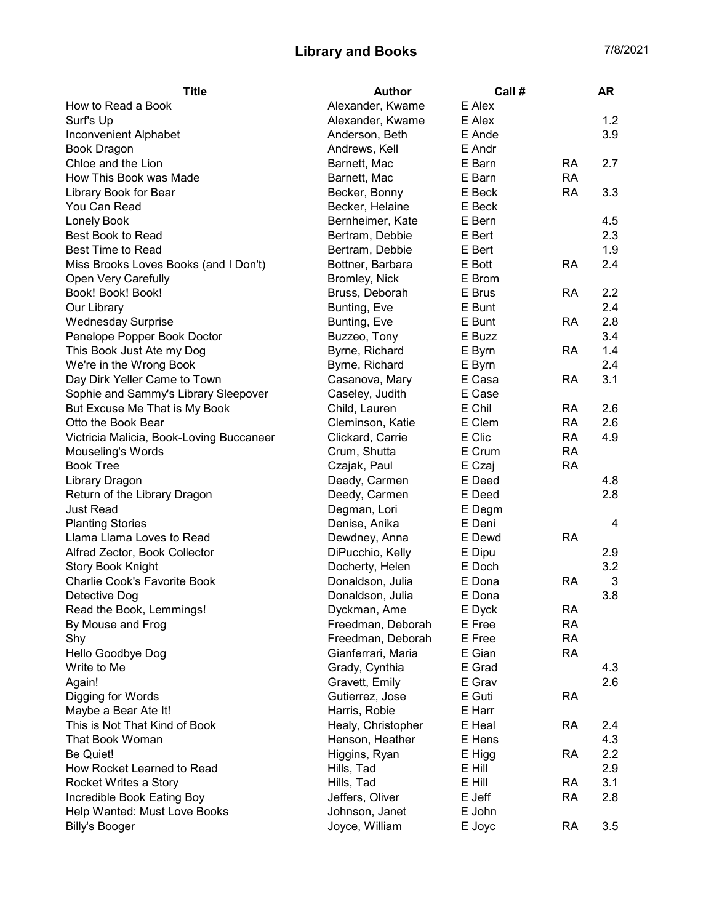## Library and Books 7/8/2021

| <b>Title</b>                             | <b>Author</b>      | Call#  |           | <b>AR</b>    |
|------------------------------------------|--------------------|--------|-----------|--------------|
| How to Read a Book                       | Alexander, Kwame   | E Alex |           |              |
| Surf's Up                                | Alexander, Kwame   | E Alex |           | 1.2          |
| Inconvenient Alphabet                    | Anderson, Beth     | E Ande |           | 3.9          |
| <b>Book Dragon</b>                       | Andrews, Kell      | E Andr |           |              |
| Chloe and the Lion                       | Barnett, Mac       | E Barn | <b>RA</b> | 2.7          |
| How This Book was Made                   | Barnett, Mac       | E Barn | <b>RA</b> |              |
| Library Book for Bear                    | Becker, Bonny      | E Beck | <b>RA</b> | 3.3          |
| You Can Read                             | Becker, Helaine    | E Beck |           |              |
| <b>Lonely Book</b>                       | Bernheimer, Kate   | E Bern |           | 4.5          |
| Best Book to Read                        | Bertram, Debbie    | E Bert |           | 2.3          |
| <b>Best Time to Read</b>                 | Bertram, Debbie    | E Bert |           | 1.9          |
| Miss Brooks Loves Books (and I Don't)    | Bottner, Barbara   | E Bott | RA        | 2.4          |
| Open Very Carefully                      | Bromley, Nick      | E Brom |           |              |
| Book! Book! Book!                        | Bruss, Deborah     | E Brus | <b>RA</b> | 2.2          |
| Our Library                              | Bunting, Eve       | E Bunt |           | 2.4          |
| <b>Wednesday Surprise</b>                | Bunting, Eve       | E Bunt | <b>RA</b> | 2.8          |
| Penelope Popper Book Doctor              | Buzzeo, Tony       | E Buzz |           | 3.4          |
| This Book Just Ate my Dog                | Byrne, Richard     | E Byrn | RA        | 1.4          |
| We're in the Wrong Book                  | Byrne, Richard     | E Byrn |           | 2.4          |
| Day Dirk Yeller Came to Town             | Casanova, Mary     | E Casa | <b>RA</b> | 3.1          |
| Sophie and Sammy's Library Sleepover     | Caseley, Judith    | E Case |           |              |
| But Excuse Me That is My Book            | Child, Lauren      | E Chil | <b>RA</b> | 2.6          |
| Otto the Book Bear                       | Cleminson, Katie   | E Clem | <b>RA</b> | 2.6          |
| Victricia Malicia, Book-Loving Buccaneer | Clickard, Carrie   | E Clic | <b>RA</b> | 4.9          |
| Mouseling's Words                        | Crum, Shutta       | E Crum | <b>RA</b> |              |
| <b>Book Tree</b>                         | Czajak, Paul       | E Czaj | <b>RA</b> |              |
| Library Dragon                           | Deedy, Carmen      | E Deed |           | 4.8          |
| Return of the Library Dragon             | Deedy, Carmen      | E Deed |           | 2.8          |
| <b>Just Read</b>                         | Degman, Lori       | E Degm |           |              |
| <b>Planting Stories</b>                  | Denise, Anika      | E Deni |           | 4            |
| Llama Llama Loves to Read                | Dewdney, Anna      | E Dewd | <b>RA</b> |              |
| Alfred Zector, Book Collector            | DiPucchio, Kelly   | E Dipu |           | 2.9          |
| <b>Story Book Knight</b>                 | Docherty, Helen    | E Doch |           | 3.2          |
| Charlie Cook's Favorite Book             | Donaldson, Julia   | E Dona | <b>RA</b> | $\mathbf{3}$ |
| Detective Dog                            | Donaldson, Julia   | E Dona |           | 3.8          |
| Read the Book, Lemmings!                 | Dyckman, Ame       | E Dyck | <b>RA</b> |              |
| By Mouse and Frog                        | Freedman, Deborah  | E Free | <b>RA</b> |              |
| Shy                                      | Freedman, Deborah  | E Free | <b>RA</b> |              |
| Hello Goodbye Dog                        | Gianferrari, Maria | E Gian | <b>RA</b> |              |
| Write to Me                              | Grady, Cynthia     | E Grad |           | 4.3          |
| Again!                                   | Gravett, Emily     | E Grav |           | 2.6          |
| Digging for Words                        | Gutierrez, Jose    | E Guti | <b>RA</b> |              |
| Maybe a Bear Ate It!                     | Harris, Robie      | E Harr |           |              |
| This is Not That Kind of Book            |                    | E Heal |           | 2.4          |
|                                          | Healy, Christopher |        | RA        |              |
| That Book Woman                          | Henson, Heather    | E Hens |           | 4.3          |
| Be Quiet!                                | Higgins, Ryan      | E Higg | <b>RA</b> | 2.2          |
| How Rocket Learned to Read               | Hills, Tad         | E Hill |           | 2.9          |
| Rocket Writes a Story                    | Hills, Tad         | E Hill | <b>RA</b> | 3.1          |
| Incredible Book Eating Boy               | Jeffers, Oliver    | E Jeff | <b>RA</b> | 2.8          |
| Help Wanted: Must Love Books             | Johnson, Janet     | E John |           |              |
| <b>Billy's Booger</b>                    | Joyce, William     | E Joyc | <b>RA</b> | 3.5          |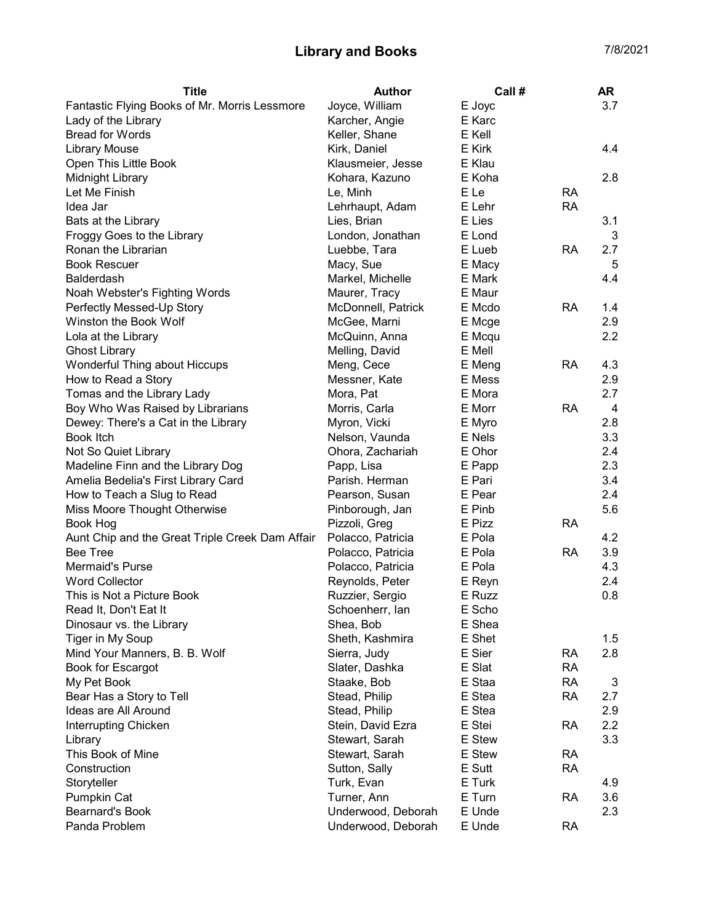## Library and Books 7/8/2021

| <b>Title</b>                                    | Author             | Call #           |           | <b>AR</b> |
|-------------------------------------------------|--------------------|------------------|-----------|-----------|
| Fantastic Flying Books of Mr. Morris Lessmore   | Joyce, William     | E Joyc           |           | 3.7       |
| Lady of the Library                             | Karcher, Angie     | E Karc           |           |           |
| <b>Bread for Words</b>                          | Keller, Shane      | E Kell           |           |           |
| <b>Library Mouse</b>                            | Kirk, Daniel       | E Kirk           |           | 4.4       |
| Open This Little Book                           | Klausmeier, Jesse  | E Klau           |           |           |
| Midnight Library                                | Kohara, Kazuno     | E Koha           |           | 2.8       |
| Let Me Finish                                   | Le, Minh           | E Le             | <b>RA</b> |           |
| Idea Jar                                        | Lehrhaupt, Adam    | E Lehr           | <b>RA</b> |           |
| Bats at the Library                             | Lies, Brian        | E Lies           |           | 3.1       |
| Froggy Goes to the Library                      | London, Jonathan   | E Lond           |           | 3         |
| Ronan the Librarian                             | Luebbe, Tara       | E Lueb           | <b>RA</b> | 2.7       |
| <b>Book Rescuer</b>                             | Macy, Sue          | E Macy           |           | 5         |
| <b>Balderdash</b>                               | Markel, Michelle   | E Mark           |           | 4.4       |
| Noah Webster's Fighting Words                   | Maurer, Tracy      | E Maur           |           |           |
| Perfectly Messed-Up Story                       | McDonnell, Patrick | E Mcdo           | <b>RA</b> | 1.4       |
| Winston the Book Wolf                           | McGee, Marni       | E Mcge           |           | 2.9       |
| Lola at the Library                             | McQuinn, Anna      | E Mcqu           |           | 2.2       |
| <b>Ghost Library</b>                            | Melling, David     | E Mell           |           |           |
| Wonderful Thing about Hiccups                   | Meng, Cece         | E Meng           | <b>RA</b> | 4.3       |
| How to Read a Story                             | Messner, Kate      | E Mess           |           | 2.9       |
| Tomas and the Library Lady                      | Mora, Pat          | E Mora           |           | 2.7       |
| Boy Who Was Raised by Librarians                | Morris, Carla      | E Morr           | <b>RA</b> | 4         |
| Dewey: There's a Cat in the Library             | Myron, Vicki       | E Myro           |           | 2.8       |
| Book Itch                                       | Nelson, Vaunda     | E Nels           |           | 3.3       |
| Not So Quiet Library                            | Ohora, Zachariah   | E Ohor           |           | 2.4       |
| Madeline Finn and the Library Dog               | Papp, Lisa         | E Papp           |           | 2.3       |
| Amelia Bedelia's First Library Card             | Parish. Herman     | E Pari           |           | 3.4       |
| How to Teach a Slug to Read                     | Pearson, Susan     | E Pear           |           | 2.4       |
| Miss Moore Thought Otherwise                    | Pinborough, Jan    | E Pinb           |           | 5.6       |
| Book Hog                                        | Pizzoli, Greg      | E Pizz           | <b>RA</b> |           |
| Aunt Chip and the Great Triple Creek Dam Affair | Polacco, Patricia  | E Pola           |           | 4.2       |
| <b>Bee Tree</b>                                 | Polacco, Patricia  | E Pola           | <b>RA</b> | 3.9       |
| Mermaid's Purse                                 | Polacco, Patricia  | E Pola           |           | 4.3       |
| <b>Word Collector</b>                           |                    |                  |           | 2.4       |
| This is Not a Picture Book                      | Reynolds, Peter    | E Reyn<br>E Ruzz |           | 0.8       |
|                                                 | Ruzzier, Sergio    |                  |           |           |
| Read It, Don't Eat It                           | Schoenherr, lan    | E Scho           |           |           |
| Dinosaur vs. the Library                        | Shea, Bob          | E Shea           |           |           |
| Tiger in My Soup                                | Sheth, Kashmira    | E Shet           |           | 1.5       |
| Mind Your Manners, B. B. Wolf                   | Sierra, Judy       | E Sier           | <b>RA</b> | 2.8       |
| Book for Escargot                               | Slater, Dashka     | E Slat           | <b>RA</b> |           |
| My Pet Book                                     | Staake, Bob        | E Staa           | <b>RA</b> | 3         |
| Bear Has a Story to Tell                        | Stead, Philip      | E Stea           | <b>RA</b> | 2.7       |
| Ideas are All Around                            | Stead, Philip      | E Stea           |           | 2.9       |
| Interrupting Chicken                            | Stein, David Ezra  | E Stei           | <b>RA</b> | 2.2       |
| Library                                         | Stewart, Sarah     | E Stew           |           | 3.3       |
| This Book of Mine                               | Stewart, Sarah     | E Stew           | <b>RA</b> |           |
| Construction                                    | Sutton, Sally      | E Sutt           | <b>RA</b> |           |
| Storyteller                                     | Turk, Evan         | E Turk           |           | 4.9       |
| Pumpkin Cat                                     | Turner, Ann        | E Turn           | <b>RA</b> | 3.6       |
| <b>Bearnard's Book</b>                          | Underwood, Deborah | E Unde           |           | 2.3       |
| Panda Problem                                   | Underwood, Deborah | E Unde           | <b>RA</b> |           |